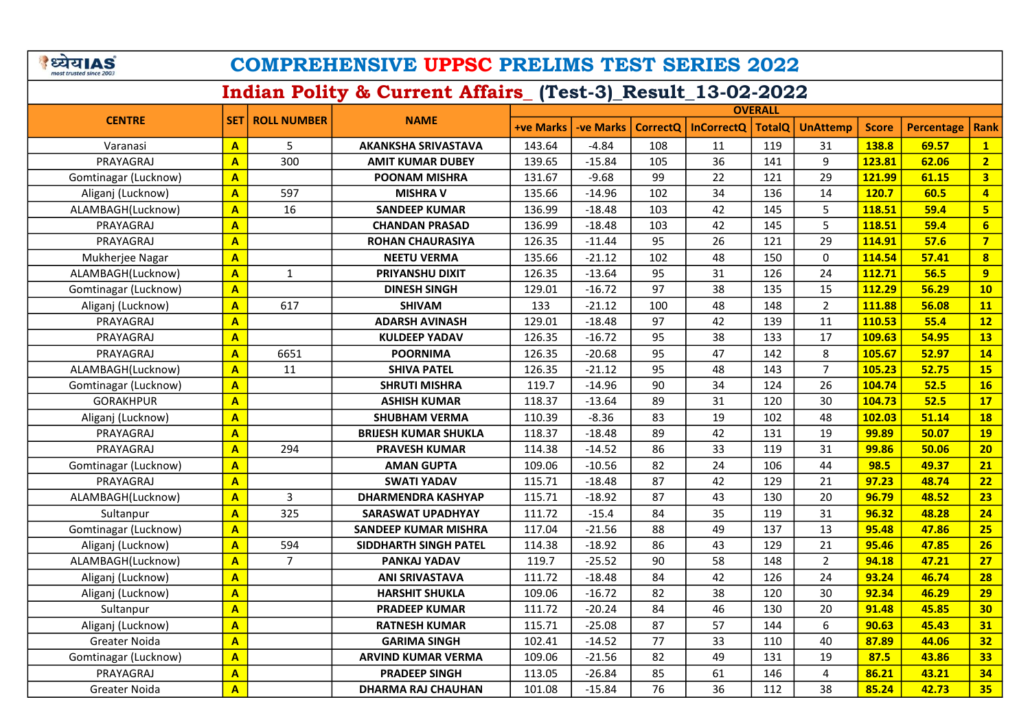| <b>B</b> येयाAS<br><b>COMPREHENSIVE UPPSC PRELIMS TEST SERIES 2022</b><br>most trusted since 2003 |                         |                          |                             |                  |                  |          |                   |               |                 |              |                   |                         |
|---------------------------------------------------------------------------------------------------|-------------------------|--------------------------|-----------------------------|------------------|------------------|----------|-------------------|---------------|-----------------|--------------|-------------------|-------------------------|
| Indian Polity & Current Affairs_(Test-3)_Result_13-02-2022                                        |                         |                          |                             |                  |                  |          |                   |               |                 |              |                   |                         |
|                                                                                                   |                         |                          |                             | <b>OVERALL</b>   |                  |          |                   |               |                 |              |                   |                         |
| <b>CENTRE</b>                                                                                     |                         | <b>SET   ROLL NUMBER</b> | <b>NAME</b>                 | <b>+ve Marks</b> | <b>-ve Marks</b> | CorrectQ | <b>InCorrectQ</b> | <b>TotalQ</b> | <b>UnAttemp</b> | <b>Score</b> | <b>Percentage</b> | <b>Rank</b>             |
| Varanasi                                                                                          | $\mathbf{A}$            | 5                        | <b>AKANKSHA SRIVASTAVA</b>  | 143.64           | $-4.84$          | 108      | 11                | 119           | 31              | 138.8        | 69.57             | 1                       |
| PRAYAGRAJ                                                                                         | A                       | 300                      | <b>AMIT KUMAR DUBEY</b>     | 139.65           | $-15.84$         | 105      | 36                | 141           | 9               | 123.81       | 62.06             | 2 <sub>1</sub>          |
| Gomtinagar (Lucknow)                                                                              | $\mathbf{A}$            |                          | <b>POONAM MISHRA</b>        | 131.67           | $-9.68$          | 99       | 22                | 121           | 29              | 121.99       | 61.15             | $\overline{\mathbf{3}}$ |
| Aliganj (Lucknow)                                                                                 | $\mathbf{A}$            | 597                      | <b>MISHRA V</b>             | 135.66           | $-14.96$         | 102      | 34                | 136           | 14              | 120.7        | 60.5              | $\overline{4}$          |
| ALAMBAGH(Lucknow)                                                                                 | $\mathbf{A}$            | 16                       | <b>SANDEEP KUMAR</b>        | 136.99           | $-18.48$         | 103      | 42                | 145           | 5               | 118.51       | 59.4              | 5 <sub>1</sub>          |
| PRAYAGRAJ                                                                                         | $\mathbf{A}$            |                          | <b>CHANDAN PRASAD</b>       | 136.99           | $-18.48$         | 103      | 42                | 145           | 5               | 118.51       | 59.4              | 6 <sup>1</sup>          |
| PRAYAGRAJ                                                                                         | $\overline{\mathsf{A}}$ |                          | <b>ROHAN CHAURASIYA</b>     | 126.35           | $-11.44$         | 95       | 26                | 121           | 29              | 114.91       | 57.6              | 7 <sup>7</sup>          |
| Mukherjee Nagar                                                                                   | $\mathbf{A}$            |                          | <b>NEETU VERMA</b>          | 135.66           | $-21.12$         | 102      | 48                | 150           | 0               | 114.54       | 57.41             | $\overline{\mathbf{8}}$ |
| ALAMBAGH(Lucknow)                                                                                 | $\mathbf{A}$            | $\mathbf{1}$             | <b>PRIYANSHU DIXIT</b>      | 126.35           | $-13.64$         | 95       | 31                | 126           | 24              | 112.71       | 56.5              | 9                       |
| Gomtinagar (Lucknow)                                                                              | $\mathbf{A}$            |                          | <b>DINESH SINGH</b>         | 129.01           | $-16.72$         | 97       | 38                | 135           | 15              | 112.29       | 56.29             | 10                      |
| Aliganj (Lucknow)                                                                                 | $\mathbf{A}$            | 617                      | <b>SHIVAM</b>               | 133              | $-21.12$         | 100      | 48                | 148           | $\overline{2}$  | 111.88       | 56.08             | 11                      |
| PRAYAGRAJ                                                                                         | $\overline{\mathsf{A}}$ |                          | <b>ADARSH AVINASH</b>       | 129.01           | $-18.48$         | 97       | 42                | 139           | 11              | 110.53       | 55.4              | 12                      |
| PRAYAGRAJ                                                                                         | $\mathbf{A}$            |                          | <b>KULDEEP YADAV</b>        | 126.35           | $-16.72$         | 95       | 38                | 133           | 17              | 109.63       | 54.95             | <b>13</b>               |
| PRAYAGRAJ                                                                                         | $\mathbf{A}$            | 6651                     | <b>POORNIMA</b>             | 126.35           | $-20.68$         | 95       | 47                | 142           | 8               | 105.67       | 52.97             | 14                      |
| ALAMBAGH(Lucknow)                                                                                 | $\mathbf{A}$            | 11                       | <b>SHIVA PATEL</b>          | 126.35           | $-21.12$         | 95       | 48                | 143           | $\overline{7}$  | 105.23       | 52.75             | <b>15</b>               |
| Gomtinagar (Lucknow)                                                                              | $\mathbf{A}$            |                          | <b>SHRUTI MISHRA</b>        | 119.7            | $-14.96$         | 90       | 34                | 124           | 26              | 104.74       | 52.5              | 16                      |
| <b>GORAKHPUR</b>                                                                                  | $\mathbf{A}$            |                          | <b>ASHISH KUMAR</b>         | 118.37           | $-13.64$         | 89       | 31                | 120           | 30              | 104.73       | 52.5              | 17                      |
| Aliganj (Lucknow)                                                                                 | $\overline{\mathsf{A}}$ |                          | <b>SHUBHAM VERMA</b>        | 110.39           | $-8.36$          | 83       | 19                | 102           | 48              | 102.03       | 51.14             | <b>18</b>               |
| PRAYAGRAJ                                                                                         | $\overline{\mathsf{A}}$ |                          | <b>BRIJESH KUMAR SHUKLA</b> | 118.37           | $-18.48$         | 89       | 42                | 131           | 19              | 99.89        | 50.07             | <b>19</b>               |
| PRAYAGRAJ                                                                                         | $\mathbf{A}$            | 294                      | <b>PRAVESH KUMAR</b>        | 114.38           | $-14.52$         | 86       | 33                | 119           | 31              | 99.86        | 50.06             | 20                      |
| Gomtinagar (Lucknow)                                                                              | $\overline{\mathsf{A}}$ |                          | <b>AMAN GUPTA</b>           | 109.06           | $-10.56$         | 82       | 24                | 106           | 44              | 98.5         | 49.37             | 21                      |
| PRAYAGRAJ                                                                                         | $\overline{\mathbf{A}}$ |                          | <b>SWATI YADAV</b>          | 115.71           | $-18.48$         | 87       | 42                | 129           | 21              | 97.23        | 48.74             | 22                      |
| ALAMBAGH(Lucknow)                                                                                 | $\mathbf{A}$            | 3                        | <b>DHARMENDRA KASHYAP</b>   | 115.71           | $-18.92$         | 87       | 43                | 130           | 20              | 96.79        | 48.52             | 23                      |
| Sultanpur                                                                                         | $\mathbf{A}$            | 325                      | SARASWAT UPADHYAY           | 111.72           | $-15.4$          | 84       | 35                | 119           | 31              | 96.32        | 48.28             | 24                      |
| Gomtinagar (Lucknow)                                                                              | $\mathbf{A}$            |                          | <b>SANDEEP KUMAR MISHRA</b> | 117.04           | $-21.56$         | 88       | 49                | 137           | 13              | 95.48        | 47.86             | 25                      |
| Aliganj (Lucknow)                                                                                 | $\mathbf{A}$            | 594                      | SIDDHARTH SINGH PATEL       | 114.38           | $-18.92$         | 86       | 43                | 129           | 21              | 95.46        | 47.85             | 26                      |
| ALAMBAGH(Lucknow)                                                                                 | $\overline{\mathsf{A}}$ | $\overline{7}$           | PANKAJ YADAV                | 119.7            | $-25.52$         | 90       | 58                | 148           | $\overline{2}$  | 94.18        | 47.21             | 27                      |
| Aliganj (Lucknow)                                                                                 | $\mathbf{A}$            |                          | <b>ANI SRIVASTAVA</b>       | 111.72           | $-18.48$         | 84       | 42                | 126           | 24              | 93.24        | 46.74             | 28                      |
| Aliganj (Lucknow)                                                                                 | $\overline{A}$          |                          | <b>HARSHIT SHUKLA</b>       | 109.06           | $-16.72$         | 82       | 38                | 120           | $30\,$          | 92.34        | 46.29             | 29                      |
| Sultanpur                                                                                         | $\mathbf{A}$            |                          | <b>PRADEEP KUMAR</b>        | 111.72           | $-20.24$         | 84       | 46                | 130           | 20              | 91.48        | 45.85             | 30 <sub>2</sub>         |
| Aliganj (Lucknow)                                                                                 | $\mathbf{A}$            |                          | <b>RATNESH KUMAR</b>        | 115.71           | $-25.08$         | 87       | 57                | 144           | 6               | 90.63        | 45.43             | 31                      |
| Greater Noida                                                                                     | $\mathbf{A}$            |                          | <b>GARIMA SINGH</b>         | 102.41           | $-14.52$         | 77       | 33                | 110           | 40              | 87.89        | 44.06             | 32                      |
| Gomtinagar (Lucknow)                                                                              | $\overline{\mathbf{A}}$ |                          | <b>ARVIND KUMAR VERMA</b>   | 109.06           | $-21.56$         | 82       | 49                | 131           | 19              | 87.5         | 43.86             | 33                      |
| PRAYAGRAJ                                                                                         | $\mathbf{A}$            |                          | <b>PRADEEP SINGH</b>        | 113.05           | $-26.84$         | 85       | 61                | 146           | 4               | 86.21        | 43.21             | 34                      |
| Greater Noida                                                                                     | $\mathbf{A}$            |                          | <b>DHARMA RAJ CHAUHAN</b>   | 101.08           | $-15.84$         | 76       | 36                | 112           | 38              | 85.24        | 42.73             | 35 <sub>2</sub>         |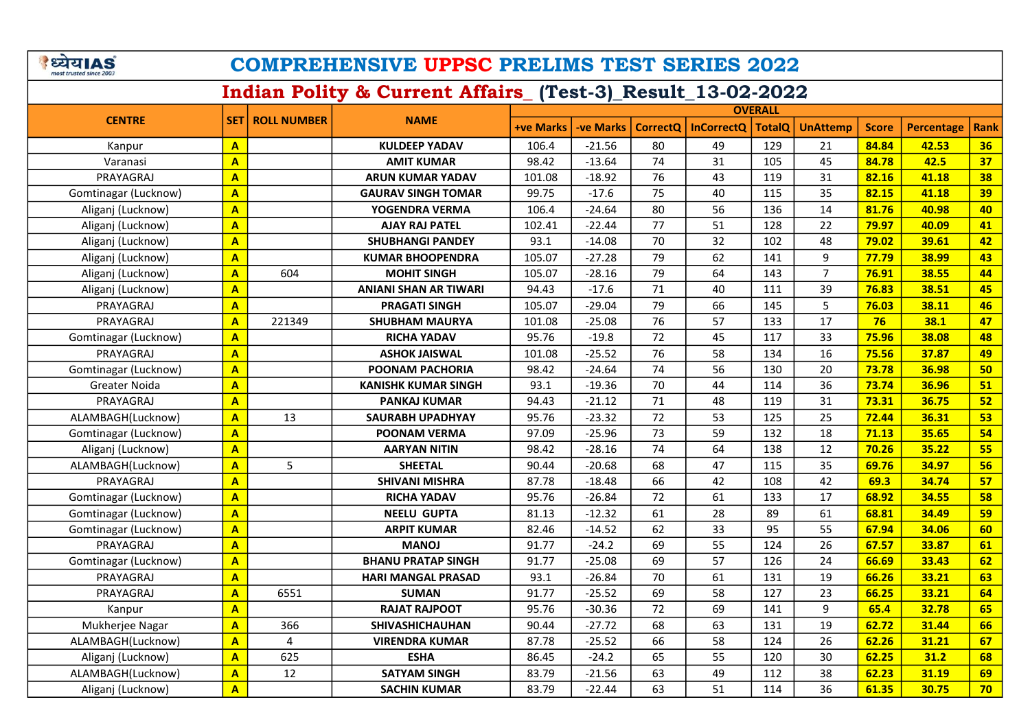| <b>B</b> येयाAS<br><b>COMPREHENSIVE UPPSC PRELIMS TEST SERIES 2022</b><br>most trusted since 200 |                         |                        |                              |                  |           |    |                       |               |                 |              |                   |      |  |
|--------------------------------------------------------------------------------------------------|-------------------------|------------------------|------------------------------|------------------|-----------|----|-----------------------|---------------|-----------------|--------------|-------------------|------|--|
| Indian Polity & Current Affairs_(Test-3)_Result_13-02-2022                                       |                         |                        |                              |                  |           |    |                       |               |                 |              |                   |      |  |
|                                                                                                  |                         |                        |                              | <b>OVERALL</b>   |           |    |                       |               |                 |              |                   |      |  |
| <b>CENTRE</b>                                                                                    |                         | <b>SET ROLL NUMBER</b> | <b>NAME</b>                  | <b>+ve Marks</b> | -ve Marks |    | CorrectQ   InCorrectQ | <b>TotalQ</b> | <b>UnAttemp</b> | <b>Score</b> | <b>Percentage</b> | Rank |  |
| Kanpur                                                                                           | $\mathbf{A}$            |                        | <b>KULDEEP YADAV</b>         | 106.4            | $-21.56$  | 80 | 49                    | 129           | 21              | 84.84        | 42.53             | 36   |  |
| Varanasi                                                                                         | $\overline{\mathbf{A}}$ |                        | <b>AMIT KUMAR</b>            | 98.42            | $-13.64$  | 74 | 31                    | 105           | 45              | 84.78        | 42.5              | 37   |  |
| PRAYAGRAJ                                                                                        | $\mathbf{A}$            |                        | <b>ARUN KUMAR YADAV</b>      | 101.08           | $-18.92$  | 76 | 43                    | 119           | 31              | 82.16        | 41.18             | 38   |  |
| Gomtinagar (Lucknow)                                                                             | $\mathbf{A}$            |                        | <b>GAURAV SINGH TOMAR</b>    | 99.75            | $-17.6$   | 75 | 40                    | 115           | 35              | 82.15        | 41.18             | 39   |  |
| Aliganj (Lucknow)                                                                                | $\mathbf{A}$            |                        | YOGENDRA VERMA               | 106.4            | $-24.64$  | 80 | 56                    | 136           | 14              | 81.76        | 40.98             | 40   |  |
| Aliganj (Lucknow)                                                                                | $\mathbf{A}$            |                        | <b>AJAY RAJ PATEL</b>        | 102.41           | $-22.44$  | 77 | 51                    | 128           | 22              | 79.97        | 40.09             | 41   |  |
| Aliganj (Lucknow)                                                                                | $\mathbf{A}$            |                        | <b>SHUBHANGI PANDEY</b>      | 93.1             | $-14.08$  | 70 | 32                    | 102           | 48              | 79.02        | 39.61             | 42   |  |
| Aliganj (Lucknow)                                                                                | $\mathbf{A}$            |                        | <b>KUMAR BHOOPENDRA</b>      | 105.07           | $-27.28$  | 79 | 62                    | 141           | 9               | 77.79        | 38.99             | 43   |  |
| Aliganj (Lucknow)                                                                                | $\mathbf{A}$            | 604                    | <b>MOHIT SINGH</b>           | 105.07           | $-28.16$  | 79 | 64                    | 143           | $\overline{7}$  | 76.91        | 38.55             | 44   |  |
| Aliganj (Lucknow)                                                                                | $\mathbf{A}$            |                        | <b>ANIANI SHAN AR TIWARI</b> | 94.43            | $-17.6$   | 71 | 40                    | 111           | 39              | 76.83        | 38.51             | 45   |  |
| PRAYAGRAJ                                                                                        | $\mathbf{A}$            |                        | <b>PRAGATI SINGH</b>         | 105.07           | $-29.04$  | 79 | 66                    | 145           | 5               | 76.03        | 38.11             | 46   |  |
| PRAYAGRAJ                                                                                        | $\overline{\mathbf{A}}$ | 221349                 | <b>SHUBHAM MAURYA</b>        | 101.08           | $-25.08$  | 76 | 57                    | 133           | 17              | 76           | 38.1              | 47   |  |
| Gomtinagar (Lucknow)                                                                             | $\overline{\mathbf{A}}$ |                        | <b>RICHA YADAV</b>           | 95.76            | $-19.8$   | 72 | 45                    | 117           | 33              | 75.96        | 38.08             | 48   |  |
| PRAYAGRAJ                                                                                        | $\mathbf{A}$            |                        | <b>ASHOK JAISWAL</b>         | 101.08           | $-25.52$  | 76 | 58                    | 134           | 16              | 75.56        | 37.87             | 49   |  |
| Gomtinagar (Lucknow)                                                                             | $\mathbf{A}$            |                        | POONAM PACHORIA              | 98.42            | $-24.64$  | 74 | 56                    | 130           | 20              | 73.78        | 36.98             | 50   |  |
| <b>Greater Noida</b>                                                                             | $\mathbf{A}$            |                        | <b>KANISHK KUMAR SINGH</b>   | 93.1             | $-19.36$  | 70 | 44                    | 114           | 36              | 73.74        | 36.96             | 51   |  |
| PRAYAGRAJ                                                                                        | $\mathbf{A}$            |                        | <b>PANKAJ KUMAR</b>          | 94.43            | $-21.12$  | 71 | 48                    | 119           | 31              | 73.31        | 36.75             | 52   |  |
| ALAMBAGH(Lucknow)                                                                                | $\mathbf{A}$            | 13                     | <b>SAURABH UPADHYAY</b>      | 95.76            | $-23.32$  | 72 | 53                    | 125           | 25              | 72.44        | 36.31             | 53   |  |
| Gomtinagar (Lucknow)                                                                             | $\mathbf{A}$            |                        | <b>POONAM VERMA</b>          | 97.09            | $-25.96$  | 73 | 59                    | 132           | 18              | 71.13        | 35.65             | 54   |  |
| Aliganj (Lucknow)                                                                                | $\mathbf{A}$            |                        | <b>AARYAN NITIN</b>          | 98.42            | $-28.16$  | 74 | 64                    | 138           | 12              | 70.26        | 35.22             | 55   |  |
| ALAMBAGH(Lucknow)                                                                                | $\mathbf{A}$            | 5                      | <b>SHEETAL</b>               | 90.44            | $-20.68$  | 68 | 47                    | 115           | 35              | 69.76        | 34.97             | 56   |  |
| PRAYAGRAJ                                                                                        | $\overline{\mathsf{A}}$ |                        | <b>SHIVANI MISHRA</b>        | 87.78            | $-18.48$  | 66 | 42                    | 108           | 42              | 69.3         | 34.74             | 57   |  |
| Gomtinagar (Lucknow)                                                                             | $\overline{A}$          |                        | <b>RICHA YADAV</b>           | 95.76            | $-26.84$  | 72 | 61                    | 133           | 17              | 68.92        | 34.55             | 58   |  |
| Gomtinagar (Lucknow)                                                                             | $\overline{\mathbf{A}}$ |                        | <b>NEELU GUPTA</b>           | 81.13            | $-12.32$  | 61 | 28                    | 89            | 61              | 68.81        | 34.49             | 59   |  |
| Gomtinagar (Lucknow)                                                                             | $\mathbf{A}$            |                        | <b>ARPIT KUMAR</b>           | 82.46            | $-14.52$  | 62 | 33                    | 95            | 55              | 67.94        | 34.06             | 60   |  |
| PRAYAGRAJ                                                                                        | $\overline{\mathbf{A}}$ |                        | <b>MANOJ</b>                 | 91.77            | $-24.2$   | 69 | 55                    | 124           | 26              | 67.57        | 33.87             | 61   |  |
| Gomtinagar (Lucknow)                                                                             | $\mathbf{A}$            |                        | <b>BHANU PRATAP SINGH</b>    | 91.77            | $-25.08$  | 69 | 57                    | 126           | 24              | 66.69        | 33.43             | 62   |  |
| PRAYAGRAJ                                                                                        | $\mathbf{A}$            |                        | <b>HARI MANGAL PRASAD</b>    | 93.1             | $-26.84$  | 70 | 61                    | 131           | 19              | 66.26        | 33.21             | 63   |  |
| PRAYAGRAJ                                                                                        | $\overline{A}$          | 6551                   | <b>SUMAN</b>                 | 91.77            | $-25.52$  | 69 | 58                    | 127           | 23              | 66.25        | 33.21             | 64   |  |
| Kanpur                                                                                           | $\mathbf{A}$            |                        | <b>RAJAT RAJPOOT</b>         | 95.76            | $-30.36$  | 72 | 69                    | 141           | 9               | 65.4         | 32.78             | 65   |  |
| Mukherjee Nagar                                                                                  | $\mathbf{A}$            | 366                    | SHIVASHICHAUHAN              | 90.44            | $-27.72$  | 68 | 63                    | 131           | 19              | 62.72        | 31.44             | 66   |  |
| ALAMBAGH(Lucknow)                                                                                | $\mathbf{A}$            | 4                      | <b>VIRENDRA KUMAR</b>        | 87.78            | $-25.52$  | 66 | 58                    | 124           | 26              | 62.26        | 31.21             | 67   |  |
| Aliganj (Lucknow)                                                                                | $\mathbf{A}$            | 625                    | <b>ESHA</b>                  | 86.45            | $-24.2$   | 65 | 55                    | 120           | 30              | 62.25        | 31.2              | 68   |  |
| ALAMBAGH(Lucknow)                                                                                | $\mathbf{A}$            | 12                     | <b>SATYAM SINGH</b>          | 83.79            | $-21.56$  | 63 | 49                    | 112           | 38              | 62.23        | 31.19             | 69   |  |
| Aliganj (Lucknow)                                                                                | $\mathbf{A}$            |                        | <b>SACHIN KUMAR</b>          | 83.79            | $-22.44$  | 63 | 51                    | 114           | 36              | 61.35        | 30.75             | 70   |  |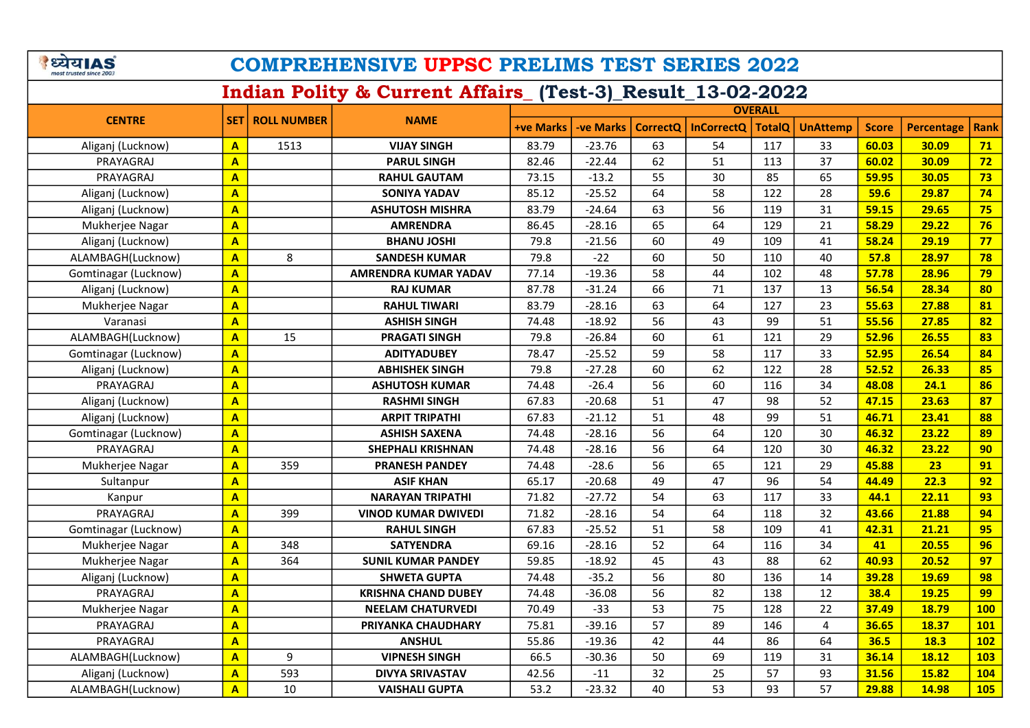| <b>ध्येयIAS</b><br><b>COMPREHENSIVE UPPSC PRELIMS TEST SERIES 2022</b><br>most trusted since 2003 |                         |                          |                            |                  |                  |          |                   |               |                 |              |                   |                  |  |  |
|---------------------------------------------------------------------------------------------------|-------------------------|--------------------------|----------------------------|------------------|------------------|----------|-------------------|---------------|-----------------|--------------|-------------------|------------------|--|--|
| Indian Polity & Current Affairs_(Test-3)_Result_13-02-2022                                        |                         |                          |                            |                  |                  |          |                   |               |                 |              |                   |                  |  |  |
|                                                                                                   |                         |                          |                            |                  | <b>OVERALL</b>   |          |                   |               |                 |              |                   |                  |  |  |
| <b>CENTRE</b>                                                                                     |                         | <b>SET   ROLL NUMBER</b> | <b>NAME</b>                | <b>+ve Marks</b> | <b>-ve Marks</b> | CorrectQ | <b>InCorrectQ</b> | <b>TotalQ</b> | <b>UnAttemp</b> | <b>Score</b> | <b>Percentage</b> | Rank             |  |  |
| Aliganj (Lucknow)                                                                                 | $\mathbf{A}$            | 1513                     | <b>VIJAY SINGH</b>         | 83.79            | $-23.76$         | 63       | 54                | 117           | 33              | 60.03        | 30.09             | 71               |  |  |
| PRAYAGRAJ                                                                                         | $\mathbf{A}$            |                          | <b>PARUL SINGH</b>         | 82.46            | $-22.44$         | 62       | 51                | 113           | 37              | 60.02        | 30.09             | 72               |  |  |
| PRAYAGRAJ                                                                                         | $\mathbf{A}$            |                          | <b>RAHUL GAUTAM</b>        | 73.15            | $-13.2$          | 55       | 30                | 85            | 65              | 59.95        | 30.05             | 73               |  |  |
| Aliganj (Lucknow)                                                                                 | $\overline{A}$          |                          | <b>SONIYA YADAV</b>        | 85.12            | $-25.52$         | 64       | 58                | 122           | 28              | 59.6         | 29.87             | 74               |  |  |
| Aliganj (Lucknow)                                                                                 | $\overline{\mathsf{A}}$ |                          | <b>ASHUTOSH MISHRA</b>     | 83.79            | $-24.64$         | 63       | 56                | 119           | 31              | 59.15        | 29.65             | 75               |  |  |
| Mukherjee Nagar                                                                                   | $\mathbf{A}$            |                          | <b>AMRENDRA</b>            | 86.45            | $-28.16$         | 65       | 64                | 129           | 21              | 58.29        | 29.22             | 76               |  |  |
| Aliganj (Lucknow)                                                                                 | $\overline{\mathsf{A}}$ |                          | <b>BHANU JOSHI</b>         | 79.8             | $-21.56$         | 60       | 49                | 109           | 41              | 58.24        | 29.19             | 77               |  |  |
| ALAMBAGH(Lucknow)                                                                                 | $\mathbf{A}$            | 8                        | <b>SANDESH KUMAR</b>       | 79.8             | $-22$            | 60       | 50                | 110           | 40              | 57.8         | 28.97             | 78               |  |  |
| Gomtinagar (Lucknow)                                                                              | $\mathbf{A}$            |                          | AMRENDRA KUMAR YADAV       | 77.14            | $-19.36$         | 58       | 44                | 102           | 48              | 57.78        | 28.96             | 79               |  |  |
| Aliganj (Lucknow)                                                                                 | $\mathbf{A}$            |                          | <b>RAJ KUMAR</b>           | 87.78            | $-31.24$         | 66       | 71                | 137           | 13              | 56.54        | 28.34             | 80               |  |  |
| Mukherjee Nagar                                                                                   | $\mathbf{A}$            |                          | <b>RAHUL TIWARI</b>        | 83.79            | $-28.16$         | 63       | 64                | 127           | 23              | 55.63        | 27.88             | 81               |  |  |
| Varanasi                                                                                          | $\overline{\mathbf{A}}$ |                          | <b>ASHISH SINGH</b>        | 74.48            | $-18.92$         | 56       | 43                | 99            | 51              | 55.56        | 27.85             | 82               |  |  |
| ALAMBAGH(Lucknow)                                                                                 | $\mathbf{A}$            | 15                       | <b>PRAGATI SINGH</b>       | 79.8             | $-26.84$         | 60       | 61                | 121           | 29              | 52.96        | 26.55             | 83               |  |  |
| Gomtinagar (Lucknow)                                                                              | $\mathbf{A}$            |                          | <b>ADITYADUBEY</b>         | 78.47            | $-25.52$         | 59       | 58                | 117           | 33              | 52.95        | 26.54             | 84               |  |  |
| Aliganj (Lucknow)                                                                                 | $\overline{\mathsf{A}}$ |                          | <b>ABHISHEK SINGH</b>      | 79.8             | $-27.28$         | 60       | 62                | 122           | 28              | 52.52        | 26.33             | 85               |  |  |
| PRAYAGRAJ                                                                                         | $\overline{\mathsf{A}}$ |                          | <b>ASHUTOSH KUMAR</b>      | 74.48            | $-26.4$          | 56       | 60                | 116           | 34              | 48.08        | 24.1              | 86               |  |  |
| Aliganj (Lucknow)                                                                                 | $\mathbf{A}$            |                          | <b>RASHMI SINGH</b>        | 67.83            | $-20.68$         | 51       | 47                | 98            | 52              | 47.15        | 23.63             | 87               |  |  |
| Aliganj (Lucknow)                                                                                 | $\overline{\mathsf{A}}$ |                          | <b>ARPIT TRIPATHI</b>      | 67.83            | $-21.12$         | 51       | 48                | 99            | 51              | 46.71        | 23.41             | 88               |  |  |
| Gomtinagar (Lucknow)                                                                              | $\overline{\mathsf{A}}$ |                          | <b>ASHISH SAXENA</b>       | 74.48            | $-28.16$         | 56       | 64                | 120           | 30              | 46.32        | 23.22             | 89               |  |  |
| PRAYAGRAJ                                                                                         | $\mathbf{A}$            |                          | <b>SHEPHALI KRISHNAN</b>   | 74.48            | $-28.16$         | 56       | 64                | 120           | 30              | 46.32        | 23.22             | 90               |  |  |
| Mukherjee Nagar                                                                                   | $\overline{\mathsf{A}}$ | 359                      | <b>PRANESH PANDEY</b>      | 74.48            | $-28.6$          | 56       | 65                | 121           | 29              | 45.88        | 23                | 91               |  |  |
| Sultanpur                                                                                         | $\overline{\mathsf{A}}$ |                          | <b>ASIF KHAN</b>           | 65.17            | $-20.68$         | 49       | 47                | 96            | 54              | 44.49        | 22.3              | 92               |  |  |
| Kanpur                                                                                            | $\mathbf{A}$            |                          | <b>NARAYAN TRIPATHI</b>    | 71.82            | $-27.72$         | 54       | 63                | 117           | 33              | 44.1         | 22.11             | 93               |  |  |
| PRAYAGRAJ                                                                                         | $\mathbf{A}$            | 399                      | <b>VINOD KUMAR DWIVEDI</b> | 71.82            | $-28.16$         | 54       | 64                | 118           | 32              | 43.66        | 21.88             | 94               |  |  |
| Gomtinagar (Lucknow)                                                                              | $\mathbf{A}$            |                          | <b>RAHUL SINGH</b>         | 67.83            | $-25.52$         | 51       | 58                | 109           | 41              | 42.31        | 21.21             | 95               |  |  |
| Mukherjee Nagar                                                                                   | $\overline{A}$          | 348                      | <b>SATYENDRA</b>           | 69.16            | $-28.16$         | 52       | 64                | 116           | 34              | 41           | 20.55             | 96               |  |  |
| Mukherjee Nagar                                                                                   | $\mathbf{A}$            | 364                      | <b>SUNIL KUMAR PANDEY</b>  | 59.85            | $-18.92$         | 45       | 43                | 88            | 62              | 40.93        | 20.52             | 97               |  |  |
| Aliganj (Lucknow)                                                                                 | $\mathbf{A}$            |                          | <b>SHWETA GUPTA</b>        | 74.48            | $-35.2$          | 56       | 80                | 136           | 14              | 39.28        | <b>19.69</b>      | 98               |  |  |
| PRAYAGRAJ                                                                                         | $\overline{\mathbf{A}}$ |                          | <b>KRISHNA CHAND DUBEY</b> | 74.48            | $-36.08$         | 56       | 82                | 138           | 12              | 38.4         | <b>19.25</b>      | 99               |  |  |
| Mukherjee Nagar                                                                                   | $\mathbf{A}$            |                          | <b>NEELAM CHATURVEDI</b>   | 70.49            | $-33$            | 53       | 75                | 128           | 22              | 37.49        | <b>18.79</b>      | 100 <sub>1</sub> |  |  |
| PRAYAGRAJ                                                                                         | $\mathbf{A}$            |                          | PRIYANKA CHAUDHARY         | 75.81            | $-39.16$         | 57       | 89                | 146           | 4               | 36.65        | 18.37             | 101              |  |  |
| PRAYAGRAJ                                                                                         | $\overline{\mathbf{A}}$ |                          | <b>ANSHUL</b>              | 55.86            | $-19.36$         | 42       | 44                | 86            | 64              | 36.5         | <b>18.3</b>       | 102              |  |  |
| ALAMBAGH(Lucknow)                                                                                 | $\mathbf{A}$            | 9                        | <b>VIPNESH SINGH</b>       | 66.5             | $-30.36$         | 50       | 69                | 119           | 31              | 36.14        | 18.12             | <b>103</b>       |  |  |
| Aliganj (Lucknow)                                                                                 | $\mathbf{A}$            | 593                      | <b>DIVYA SRIVASTAV</b>     | 42.56            | $-11$            | 32       | 25                | 57            | 93              | 31.56        | 15.82             | <b>104</b>       |  |  |
| ALAMBAGH(Lucknow)                                                                                 | $\mathbf{A}$            | 10                       | <b>VAISHALI GUPTA</b>      | 53.2             | $-23.32$         | 40       | 53                | 93            | 57              | 29.88        | 14.98             | <b>105</b>       |  |  |